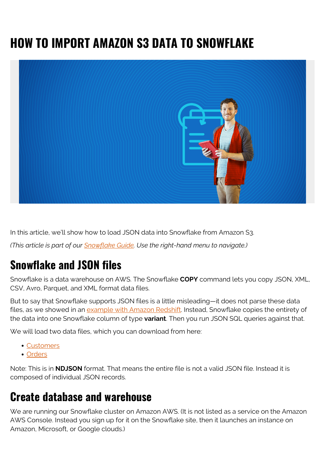# **HOW TO IMPORT AMAZON S3 DATA TO SNOWFLAKE**



In this article, we'll show how to load JSON data into Snowflake from Amazon S3.

*(This article is part of our [Snowflake Guide](https://blogs.bmc.com/blogs/import-data-s3-snowflake/). Use the right-hand menu to navigate.)*

## **Snowflake and JSON files**

Snowflake is a data warehouse on AWS. The Snowflake **COPY** command lets you copy JSON, XML, CSV, Avro, Parquet, and XML format data files.

But to say that Snowflake supports JSON files is a little misleading—it does not parse these data files, as we showed in an [example with Amazon Redshift.](https://blogs.bmc.com/blogs/amazon-redshift-load-data) Instead, Snowflake copies the entirety of the data into one Snowflake column of type **variant**. Then you run JSON SQL queries against that.

We will load two data files, which you can download from here:

- [Customers](https://raw.githubusercontent.com/werowe/glue/master/customers.json)
- [Orders](https://raw.githubusercontent.com/werowe/glue/master/orders.json)

Note: This is in **NDJSON** format. That means the entire file is not a valid JSON file. Instead it is composed of individual JSON records.

#### **Create database and warehouse**

We are running our Snowflake cluster on Amazon AWS. (It is not listed as a service on the Amazon AWS Console. Instead you sign up for it on the Snowflake site, then it launches an instance on Amazon, Microsoft, or Google clouds.)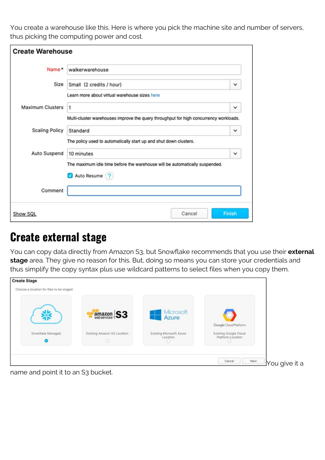You create a warehouse like this. Here is where you pick the machine site and number of servers, thus picking the computing power and cost.

| <b>Create Warehouse</b> |                                                                                              |               |  |  |  |
|-------------------------|----------------------------------------------------------------------------------------------|---------------|--|--|--|
| Name*                   | walkerwarehouse                                                                              |               |  |  |  |
| Size                    | Small (2 credits / hour)                                                                     |               |  |  |  |
|                         | Learn more about virtual warehouse sizes here                                                |               |  |  |  |
| <b>Maximum Clusters</b> | 1                                                                                            | $\checkmark$  |  |  |  |
|                         | Multi-cluster warehouses improve the query throughput for high concurrency workloads.        |               |  |  |  |
| <b>Scaling Policy</b>   | Standard                                                                                     | ∨             |  |  |  |
|                         | The policy used to automatically start up and shut down clusters.                            |               |  |  |  |
| Auto Suspend            | 10 minutes                                                                                   | ✓             |  |  |  |
|                         | The maximum idle time before the warehouse will be automatically suspended.<br>Auto Resume ? |               |  |  |  |
| Comment                 |                                                                                              |               |  |  |  |
| Show SQL                | Cancel                                                                                       | <b>Finish</b> |  |  |  |

#### **Create external stage**

You can copy data directly from Amazon S3, but Snowflake recommends that you use their **external stage** area. They give no reason for this. But, doing so means you can store your credentials and thus simplify the copy syntax plus use wildcard patterns to select files when you copy them.



name and point it to an S3 bucket.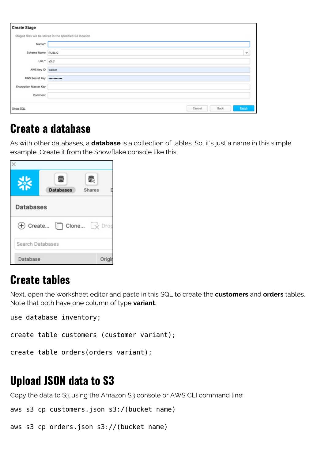| <b>Create Stage</b>   |                                                          |                |              |
|-----------------------|----------------------------------------------------------|----------------|--------------|
|                       | Staged files will be stored in the specified S3 location |                |              |
| Name*                 |                                                          |                |              |
| Schema Name PUBLIC    |                                                          |                | $\checkmark$ |
| $URL^*$ s3://         |                                                          |                |              |
| AWS Key ID walker     |                                                          |                |              |
| <b>AWS Secret Key</b> |                                                          |                |              |
| Encryption Master Key |                                                          |                |              |
| Comment               |                                                          |                |              |
| Show SQL              |                                                          | Back<br>Cancel | Einish       |

#### **Create a database**

As with other databases, a **database** is a collection of tables. So, it's just a name in this simple example. Create it from the Snowflake console like this:

|                  | <b>Databases</b> | ₹<br><b>Shares</b>          |
|------------------|------------------|-----------------------------|
| <b>Databases</b> |                  |                             |
| $^{(+)}$         | Create $\Box$    | Clone $\Box \times$<br>Drop |
| Search Databases |                  |                             |
| Database         |                  | Oric                        |

#### **Create tables**

Next, open the worksheet editor and paste in this SQL to create the **customers** and **orders** tables. Note that both have one column of type **variant**.

use database inventory;

create table customers (customer variant);

create table orders(orders variant);

# **Upload JSON data to S3**

Copy the data to S3 using the Amazon S3 console or AWS CLI command line:

aws s3 cp customers.json s3:/(bucket name)

aws s3 cp orders.json s3://(bucket name)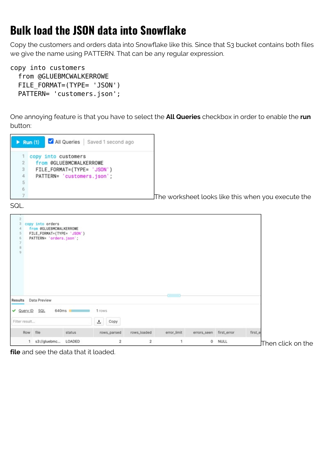### **Bulk load the JSON data into Snowflake**

Copy the customers and orders data into Snowflake like this. Since that S3 bucket contains both files we give the name using PATTERN. That can be any regular expression.

copy into customers from @GLUEBMCWALKERROWE FILE\_FORMAT=(TYPE= 'JSON') PATTERN= 'customers.json';

One annoying feature is that you have to select the **All Queries** checkbox in order to enable the **run** button:

|   | All Queries   Saved 1 second ago<br>Run $(1)$ |
|---|-----------------------------------------------|
| ı | copy into customers                           |
| 2 | from @GLUEBMCWALKERROWE                       |
| 3 | FILE_FORMAT=(TYPE= 'JSON')                    |
| 4 | PATTERN= 'customers.json';                    |
| 5 |                                               |
| 6 |                                               |
|   |                                               |

The worksheet looks like this when you execute the

SQL.

| 5<br>6<br>$\begin{array}{c}\n7 \\ 0 \\ 0\n\end{array}$ | copy into orders<br>from @GLUEBMCWALKERROWE<br>FILE_FORMAT=(TYPE= 'JSON')<br>PATTERN= 'orders.json'; |                     |             |             |             |                         |             |         |                                               |
|--------------------------------------------------------|------------------------------------------------------------------------------------------------------|---------------------|-------------|-------------|-------------|-------------------------|-------------|---------|-----------------------------------------------|
| Results                                                | Data Preview                                                                                         |                     |             |             | $-$         |                         |             |         |                                               |
| v Query ID SQL                                         |                                                                                                      | 640ms <b>1200mm</b> | 1 rows      |             |             |                         |             |         |                                               |
| Filter result                                          |                                                                                                      |                     | 击<br>Copy   |             |             |                         |             |         |                                               |
| Row file                                               |                                                                                                      | status              | rows_parsed | rows_loaded | error_limit | errors_seen first_error |             | first_e |                                               |
|                                                        | s3://gluebmc                                                                                         | LOADED              | 2           | 2           | 1           | 0                       | <b>NULL</b> |         | $\operatorname{\mathsf{J}}$ Then click on the |

**file** and see the data that it loaded.